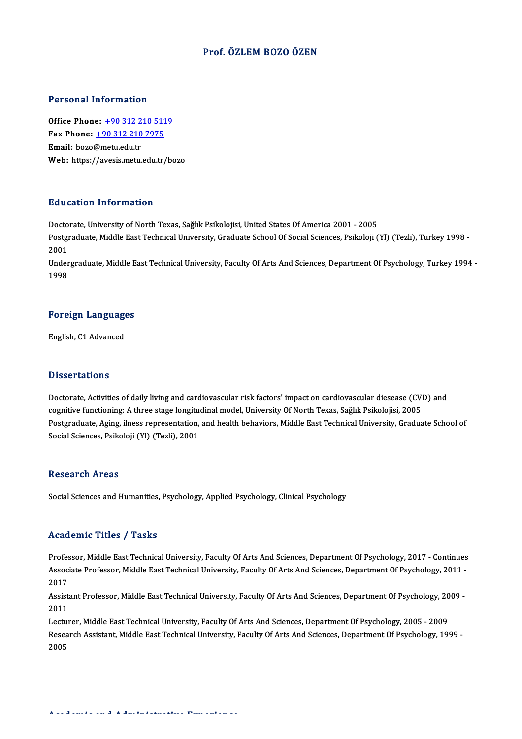#### Prof. ÖZLEM BOZO ÖZEN

#### Personal Information

Personal Information<br>Office Phone: <u>+90 312 210 5119</u><br>Fax Phone: 190 312 210 7975 Fax Phone: <u>+90 312 210 511</u><br>Fax Phone: <u>+90 312 210 7975</u><br>Fmail: boze@motu.edu.tr Office Phone: <u>+90 312 2</u><br>Fax Phone: <u>+90 312 210</u><br>Email: bozo@metu.edu.tr Fax Phone:  $\pm 903122107975$ <br>Email: bozo@metu.edu.tr<br>Web: https:/[/avesis.metu.edu.tr](tel:+90 312 210 7975)[/b](tel:+90 312 210 5119)ozo

#### Education Information

<mark>Education Information</mark><br>Doctorate, University of North Texas, Sağlık Psikolojisi, United States Of America 2001 - 2005<br>Postaraduate Middle Fast Technical University, Craduate School Of Sacial Sciences, Bsikoloji ( Pu u cutron Timon inutron<br>Doctorate, University of North Texas, Sağlık Psikolojisi, United States Of America 2001 - 2005<br>Postgraduate, Middle East Technical University, Graduate School Of Social Sciences, Psikoloji (Yl) (T Docto<br>Postgi<br>2001<br>Under Postgraduate, Middle East Technical University, Graduate School Of Social Sciences, Psikoloji (Yl) (Tezli), Turkey 1998 -<br>2001<br>Undergraduate, Middle East Technical University, Faculty Of Arts And Sciences, Department Of Ps

2001<br>Undergraduate, Middle East Technical University, Faculty Of Arts And Sciences, Department Of Psychology, Turkey 1994<br>1998

## 1<sup>998</sup><br>Foreign Languages <mark>Foreign Languag</mark><br>English, C1 Advanced

English, C1 Advanced<br>Dissertations

Dissertations<br>Doctorate, Activities of daily living and cardiovascular risk factors' impact on cardiovascular diesease (CVD) and<br>cognitive functioning: A three stage longitudinal model. University Of North Texes, Seğlık Ps cological cattonic<br>Doctorate, Activities of daily living and cardiovascular risk factors' impact on cardiovascular diesease (CV)<br>Doctareduate, Aging ilnees representation, and bealth behaviors. Middle Eest Technical Univer Doctorate, Activities of daily living and cardiovascular risk factors' impact on cardiovascular diesease (CVD) and<br>cognitive functioning: A three stage longitudinal model, University Of North Texas, Sağlık Psikolojisi, 200 cognitive functioning: A three stage longitudinal model, University Of North Texas, Sağlık Psikolojisi, 2005<br>Postgraduate, Aging, ilness representation, and health behaviors, Middle East Technical University, Graduate Scho

#### **Research Areas**

Social Sciences and Humanities, Psychology, Applied Psychology, Clinical Psychology

#### Academic Titles / Tasks

Professor, Middle East Technical University, Faculty Of Arts And Sciences, Department Of Psychology, 2017 - Continues AssociateMice Profes / Profes<br>Professor, Middle East Technical University, Faculty Of Arts And Sciences, Department Of Psychology, 2017 - Continues<br>Associate Professor, Middle East Technical University, Faculty Of Arts And Profes<br>Assoc<br>2017<br>Assist Associate Professor, Middle East Technical University, Faculty Of Arts And Sciences, Department Of Psychology, 2011 -<br>2017<br>Assistant Professor, Middle East Technical University, Faculty Of Arts And Sciences, Department Of

2017<br>Assistant Professor, Middle East Technical University, Faculty Of Arts And Sciences, Department Of Psychology, 2009 -<br>2011 Assistant Professor, Middle East Technical University, Faculty Of Arts And Sciences, Department Of Psychology, 20<br>2011<br>Lecturer, Middle East Technical University, Faculty Of Arts And Sciences, Department Of Psychology, 200

Research Assistant, Middle East Technical University, Faculty Of Arts And Sciences, Department Of Psychology, 1999 -<br>2005 Lectui<br>Resea<br>2005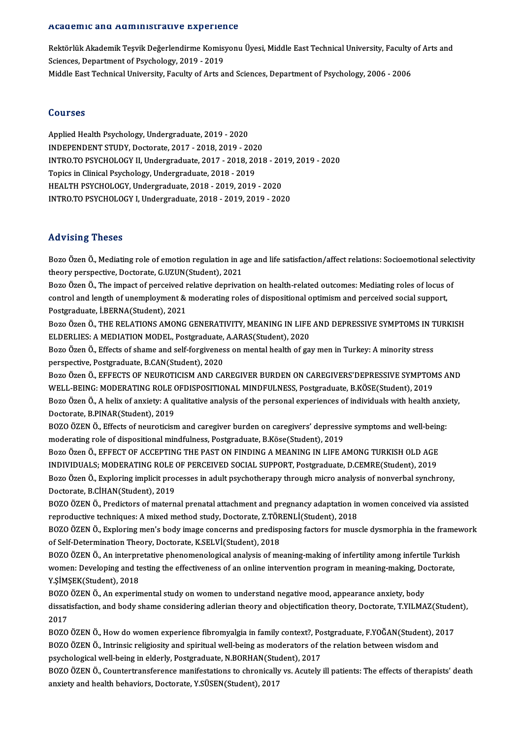#### Academic and Administrative Experience

A**cademic and Administrative Experience**<br>Rektörlük Akademik Teşvik Değerlendirme Komisyonu Üyesi, Middle East Technical University, Faculty of Arts and<br>Ssiances Department of Peychology, 2019, 2019 Sciences, Departmentofactiv o Enportof<br>Rektörlük Akademik Teşvik Değerlendirme Komisy<br>Sciences, Department of Psychology, 2019 - 2019<br>Middle Fest Teshnisel University, Fesulty of Arts at Rektörlük Akademik Teşvik Değerlendirme Komisyonu Üyesi, Middle East Technical University, Faculty<br>Sciences, Department of Psychology, 2019 - 2019<br>Middle East Technical University, Faculty of Arts and Sciences, Department Middle East Technical University, Faculty of Arts and Sciences, Department of Psychology, 2006 - 2006<br>Courses

Applied Health Psychology, Undergraduate, 2019 - 2020 INDEPENDENTSTUDY,Doctorate,2017 -2018,2019 -2020 Applied Health Psychology, Undergraduate, 2019 - 2020<br>INDEPENDENT STUDY, Doctorate, 2017 - 2018, 2019 - 2020<br>INTRO.TO PSYCHOLOGY II, Undergraduate, 2017 - 2018, 2018 - 2019, 2019 - 2020<br>Tenics in Clinical Bayshology, Under Topics in Clinical Psychology, Undergraduate, 2018 - 2019<br>HEALTH PSYCHOLOGY, Undergraduate, 2018 - 2019, 2019 - 2020 INTRO.TO PSYCHOLOGY II, Undergraduate, 2017 - 2018, 2018 - 20<br>Topics in Clinical Psychology, Undergraduate, 2018 - 2019<br>HEALTH PSYCHOLOGY, Undergraduate, 2018 - 2019, 2019 - 2020<br>INTRO TO PSYCHOLOGY L Undergraduate, 2019, INTRO.TOPSYCHOLOGYI,Undergraduate,2018 -2019,2019 -2020

#### Advising Theses

Advising Theses<br>Bozo Özen Ö., Mediating role of emotion regulation in age and life satisfaction/affect relations: Socioemotional selectivity<br>theory perspective Decterate C UZUN(Student), 2021 theory perspective, Doctorate, G.UZUN(Student), 2021<br>Bozo Özen Ö., The impact of perceived relative deprivation on health-related outcomes: Mediating roles of locus of Bozo Özen Ö., Mediating role of emotion regulation in age and life satisfaction/affect relations: Socioemotional selectiony perspective, Doctorate, G.UZUN(Student), 2021<br>Bozo Özen Ö., The impact of perceived relative depri

control and length of unemployment & moderating roles of dispositional optimism and perceived social support, Postgraduate, İ.BERNA(Student),2021 control and length of unemployment & moderating roles of dispositional optimism and perceived social support,<br>Postgraduate, İ.BERNA(Student), 2021<br>Bozo Özen Ö., THE RELATIONS AMONG GENERATIVITY, MEANING IN LIFE AND DEPRESS

Postgraduate, İ.BERNA(Student), 2021<br>Bozo Özen Ö., THE RELATIONS AMONG GENERATIVITY, MEANING IN LIFE<br>ELDERLIES: A MEDIATION MODEL, Postgraduate, A.ARAS(Student), 2020<br>Bozo Özen Ö. Effecte of shame and self forgiveness on m Bozo Özen Ö., THE RELATIONS AMONG GENERATIVITY, MEANING IN LIFE AND DEPRESSIVE SYMPTOMS IN T<br>ELDERLIES: A MEDIATION MODEL, Postgraduate, A.ARAS(Student), 2020<br>Bozo Özen Ö., Effects of shame and self-forgiveness on mental h

ELDERLIES: A MEDIATION MODEL, Postgraduate, A.ARAS(Student), 2020<br>Bozo Özen Ö., Effects of shame and self-forgiveness on mental health of gay men in Turkey: A minority stress<br>perspective, Postgraduate, B.CAN(Student), 2020

BozoÖzenÖ.,EFFECTSOFNEUROTICISMANDCAREGIVERBURDENONCAREGIVERS'DEPRESSIVESYMPTOMSAND perspective, Postgraduate, B.CAN(Student), 2020<br>Bozo Özen Ö., EFFECTS OF NEUROTICISM AND CAREGIVER BURDEN ON CAREGIVERS'DEPRESSIVE SYMPTON<br>WELL-BEING: MODERATING ROLE OFDISPOSITIONAL MINDFULNESS, Postgraduate, B.KÖSE(Stude Bozo Özen Ö., EFFECTS OF NEUROTICISM AND CAREGIVER BURDEN ON CAREGIVERS'DEPRESSIVE SYMPTOMS AND<br>WELL-BEING: MODERATING ROLE OFDISPOSITIONAL MINDFULNESS, Postgraduate, B.KÖSE(Student), 2019<br>Bozo Özen Ö., A helix of anxiety: WELL-BEING: MODERATING ROLE (<br>Bozo Özen Ö., A helix of anxiety: A q<br>Doctorate, B.PINAR(Student), 2019<br>BOZO ÖZEN Ö. Effecte of neuverisien Bozo Özen Ö., A helix of anxiety: A qualitative analysis of the personal experiences of individuals with health anxi<br>Doctorate, B.PINAR(Student), 2019<br>BOZO ÖZEN Ö., Effects of neuroticism and caregiver burden on caregivers

Doctorate, B.PINAR(Student), 2019<br>BOZO ÖZEN Ö., Effects of neuroticism and caregiver burden on caregivers' depressiv<br>moderating role of dispositional mindfulness, Postgraduate, B.Köse(Student), 2019<br>Bozo Özen Ö. EEEECT OF BOZO ÖZEN Ö., Effects of neuroticism and caregiver burden on caregivers' depressive symptoms and well-bein<br>moderating role of dispositional mindfulness, Postgraduate, B.Köse(Student), 2019<br>Bozo Özen Ö., EFFECT OF ACCEPTING

moderating role of dispositional mindfulness, Postgraduate, B.Köse(Student), 2019<br>Bozo Özen Ö., EFFECT OF ACCEPTING THE PAST ON FINDING A MEANING IN LIFE AMONG TURKISH OLD AGE<br>INDIVIDUALS; MODERATING ROLE OF PERCEIVED SOCI Bozo Özen Ö., EFFECT OF ACCEPTING THE PAST ON FINDING A MEANING IN LIFE AMONG TURKISH OLD AGE<br>INDIVIDUALS; MODERATING ROLE OF PERCEIVED SOCIAL SUPPORT, Postgraduate, D.CEMRE(Student), 2019<br>Bozo Özen Ö., Exploring implicit INDIVIDUALS; MODERATING ROLE (<br>Bozo Özen Ö., Exploring implicit proc<br>Doctorate, B.CİHAN(Student), 2019<br>BOZO ÖZEN Ö., Prodistora of matarı Bozo Özen Ö., Exploring implicit processes in adult psychotherapy through micro analysis of nonverbal synchrony,<br>Doctorate, B.CİHAN(Student), 2019<br>BOZO ÖZEN Ö., Predictors of maternal prenatal attachment and pregnancy adap

Doctorate, B.CİHAN(Student), 2019<br>BOZO ÖZEN Ö., Predictors of maternal prenatal attachment and pregnancy adaptation in<br>reproductive techniques: A mixed method study, Doctorate, Z.TÖRENLİ(Student), 2018<br>BOZO ÖZEN Ö., Evplan BOZO ÖZEN Ö., Predictors of maternal prenatal attachment and pregnancy adaptation in women conceived via assisted<br>reproductive techniques: A mixed method study, Doctorate, Z.TÖRENLİ(Student), 2018<br>BOZO ÖZEN Ö., Exploring m

reproductive techniques: A mixed method study, Doctorate, Z.TÖRENLİ(Student), 2018<br>BOZO ÖZEN Ö., Exploring men's body image concerns and predisposing factors for mus<br>of Self-Determination Theory, Doctorate, K.SELVİ(Student BOZO ÖZEN Ö., Exploring men's body image concerns and predisposing factors for muscle dysmorphia in the framework

of Self-Determination Theory, Doctorate, K.SELVİ(Student), 2018<br>BOZO ÖZEN Ö., An interpretative phenomenological analysis of meaning-making of infertility among infertile Turkis<br>women: Developing and testing the effectiven BOZO ÖZEN Ö., An interpre<br>women: Developing and te<br>Y.ŞİMŞEK(Student), 2018<br>POZO ÖZEN Ö. An ovnorin women: Developing and testing the effectiveness of an online intervention program in meaning-making, Doctorate,<br>Y.ŞİMŞEK(Student), 2018

Y.ŞİMŞEK(Student), 2018<br>BOZO ÖZEN Ö., An experimental study on women to understand negative mood, appearance anxiety, body<br>dissatisfaction, and body shame considering adlerian theory and objectification theory, Doctorate, BOZO ÖZEN Ö., An experimental study on women to understand negative mood, appearance anxiety, body dissatisfaction, and body shame considering adlerian theory and objectification theory, Doctorate, T.YILM/<br>2017 dissatisfaction, and body shame considering adlerian theory and objectification theory, Doctorate, T.YILMAZ(Student)<br>2017<br>BOZO ÖZEN Ö., How do women experience fibromyalgia in family context?, Postgraduate, F.YOĞAN(Student

2017<br>BOZO ÖZEN Ö., How do women experience fibromyalgia in family context?, Postgraduate, F.YOĞAN(Student), 2<br>BOZO ÖZEN Ö., Intrinsic religiosity and spiritual well-being as moderators of the relation between wisdom and<br>PS BOZO ÖZEN Ö., How do women experience fibromyalgia in family context?, Po<br>BOZO ÖZEN Ö., Intrinsic religiosity and spiritual well-being as moderators of t<br>psychological well-being in elderly, Postgraduate, N.BORHAN(Student) BOZO ÖZEN Ö., Intrinsic religiosity and spiritual well-being as moderators of the relation between wisdom and<br>psychological well-being in elderly, Postgraduate, N.BORHAN(Student), 2017<br>BOZO ÖZEN Ö., Countertransference man

psychological well-being in elderly, Postgraduate, N.BORHAN(Stu<br>BOZO ÖZEN Ö., Countertransference manifestations to chronically<br>anxiety and health behaviors, Doctorate, Y.SÜSEN(Student), 2017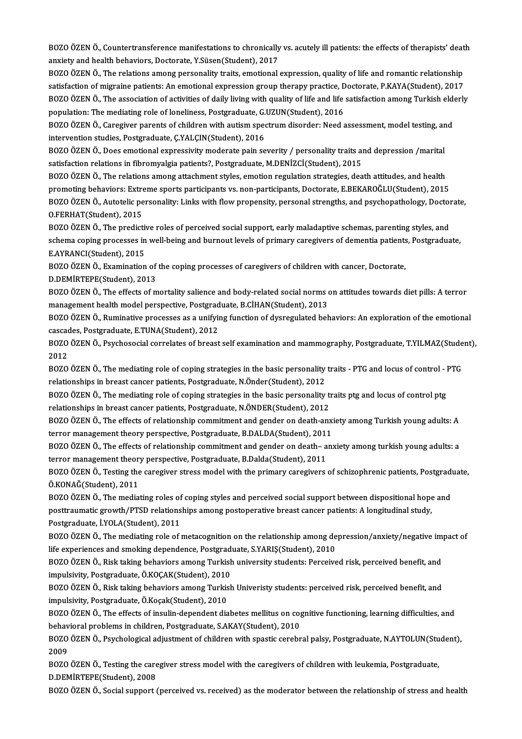BOZO ÖZEN Ö., Countertransference manifestations to chronically vs. acutely ill patients: the effects of therapists' death<br>anviety and bealth behaviors. Dectante, Y Süsen(Student), 2017 BOZO ÖZEN Ö., Countertransference manifestations to chronically<br>anxiety and health behaviors, Doctorate, Y.Süsen(Student), 2017<br>POZO ÖZEN Ö. The relations among personality traits, emotional. BOZO ÖZEN Ö., Countertransference manifestations to chronically vs. acutely ill patients: the effects of therapists' deat<br>anxiety and health behaviors, Doctorate, Y.Süsen(Student), 2017<br>BOZO ÖZEN Ö., The relations among pe

anxiety and health behaviors, Doctorate, Y.Süsen(Student), 2017<br>BOZO ÖZEN Ö., The relations among personality traits, emotional expression, quality of life and romantic relationship<br>satisfaction of migraine patients: An em BOZO ÖZEN Ö., The relations among personality traits, emotional expression, quality of life and romantic relationship<br>satisfaction of migraine patients: An emotional expression group therapy practice, Doctorate, P.KAYA(Stu satisfaction of migraine patients: An emotional expression group therapy practice, D<br>BOZO ÖZEN Ö., The association of activities of daily living with quality of life and life<br>population: The mediating role of loneliness, P BOZO ÖZEN Ö., The association of activities of daily living with quality of life and life satisfaction among Turkish eld<br>population: The mediating role of loneliness, Postgraduate, G.UZUN(Student), 2016<br>BOZO ÖZEN Ö., Careg

population: The mediating role of loneliness, Postgraduate, G.UZUN(Student), 2016<br>BOZO ÖZEN Ö., Caregiver parents of children with autism spectrum disorder: Need assessment, model testing, ar<br>intervention studies, Postgrad BOZO ÖZEN Ö., Caregiver parents of children with autism spectrum disorder: Need assessment, model testing, and

satisfaction relations in fibromyalgia patients?, Postgraduate, M.DENİZCİ(Student), 2015 BOZO ÖZEN Ö., Does emotional expressivity moderate pain severity / personality traits and depression /marital<br>satisfaction relations in fibromyalgia patients?, Postgraduate, M.DENİZCİ(Student), 2015<br>BOZO ÖZEN Ö., The relat

satisfaction relations in fibromyalgia patients?, Postgraduate, M.DENİZCİ(Student), 2015<br>BOZO ÖZEN Ö., The relations among attachment styles, emotion regulation strategies, death attitudes, and health<br>promoting behaviors: BOZO ÖZEN Ö., The relations among attachment styles, emotion regulation strategies, death attitudes, and health<br>promoting behaviors: Extreme sports participants vs. non-participants, Doctorate, E.BEKAROĞLU(Student), 2015<br>B promoting behaviors: Extre<br>BOZO ÖZEN Ö., Autotelic pe<br>O.FERHAT(Student), 2015<br>POZO ÖZEN Ö., The predicti BOZO ÖZEN Ö., Autotelic personality: Links with flow propensity, personal strengths, and psychopathology, Doctor<br>O.FERHAT(Student), 2015<br>BOZO ÖZEN Ö., The predictive roles of perceived social support, early maladaptive sch

O.FERHAT(Student), 2015<br>BOZO ÖZEN Ö., The predictive roles of perceived social support, early maladaptive schemas, parenting styles, and<br>schema coping processes in well-being and burnout levels of primary caregivers of dem BOZO ÖZEN Ö., The predictive roles of perceived social support, early maladaptive schemas, parenting styles, and<br>schema coping processes in well-being and burnout levels of primary caregivers of dementia patients, Postgrad schema coping processes in well-being and burnout levels of primary caregivers of dementia patients<br>E.AYRANCI(Student), 2015<br>BOZO ÖZEN Ö., Examination of the coping processes of caregivers of children with cancer, Doctorat

BOZO ÖZEN Ö., Examination of the coping processes of caregivers of children with cancer, Doctorate, D.DEMİRTEPE(Student), 2013

BOZO ÖZEN Ö., Examination of the coping processes of caregivers of children with cancer, Doctorate,<br>D.DEMİRTEPE(Student), 2013<br>BOZO ÖZEN Ö., The effects of mortality salience and body-related social norms on attitudes towa D.DEMİRTEPE(Student), 2013<br>BOZO ÖZEN Ö., The effects of mortality salience and body-related social norms of<br>management health model perspective, Postgraduate, B.CİHAN(Student), 2013<br>BOZO ÖZEN Ö., Buminative processes as a BOZO ÖZEN Ö., The effects of mortality salience and body-related social norms on attitudes towards diet pills: A terror<br>management health model perspective, Postgraduate, B.CİHAN(Student), 2013<br>BOZO ÖZEN Ö., Ruminative pro

management health model perspective, Postgrad<br>BOZO ÖZEN Ö., Ruminative processes as a unifyir<br>cascades, Postgraduate, E.TUNA(Student), 2012<br>POZO ÖZEN Ö., Psychososial sarrelates of breast BOZO ÖZEN Ö., Ruminative processes as a unifying function of dysregulated behaviors: An exploration of the emotional<br>cascades, Postgraduate, E.TUNA(Student), 2012<br>BOZO ÖZEN Ö., Psychosocial correlates of breast self examin

cascad<br>BOZO<br>2012<br>BOZO BOZO ÖZEN Ö., Psychosocial correlates of breast self examination and mammography, Postgraduate, T.YILMAZ(Stude<br>2012<br>BOZO ÖZEN Ö., The mediating role of coping strategies in the basic personality traits - PTG and locus of c

2012<br>BOZO ÖZEN Ö., The mediating role of coping strategies in the basic personality<br>relationships in breast cancer patients, Postgraduate, N.Önder(Student), 2012<br>POZO ÖZEN Ö., The mediating rela of coping strategies in the BOZO ÖZEN Ö., The mediating role of coping strategies in the basic personality traits - PTG and locus of control - l<br>relationships in breast cancer patients, Postgraduate, N.Önder(Student), 2012<br>BOZO ÖZEN Ö., The mediating

relationships in breast cancer patients, Postgraduate, N.Önder(Student), 2012<br>BOZO ÖZEN Ö., The mediating role of coping strategies in the basic personality traits ptg and locus of control ptg<br>relationships in breast cance BOZO ÖZEN Ö., The mediating role of coping strategies in the basic personality traits ptg and locus of control ptg<br>relationships in breast cancer patients, Postgraduate, N.ÖNDER(Student), 2012<br>BOZO ÖZEN Ö., The effects of

relationships in breast cancer patients, Postgraduate, N.ÖNDER(Student), 2012<br>BOZO ÖZEN Ö., The effects of relationship commitment and gender on death-anx<br>terror management theory perspective, Postgraduate, B.DALDA(Student BOZO ÖZEN Ö., The effects of relationship commitment and gender on death-anxiety among Turkish young adults: A<br>terror management theory perspective, Postgraduate, B.DALDA(Student), 2011<br>BOZO ÖZEN Ö., The effects of relatio

terror management theory perspective, Postgraduate, B.DALDA(Student), 2011<br>BOZO ÖZEN Ö., The effects of relationship commitment and gender on death– a<br>terror management theory perspective, Postgraduate, B.Dalda(Student), 2 BOZO ÖZEN Ö., The effects of relationship commitment and gender on death– anxiety among turkish young adults: a<br>terror management theory perspective, Postgraduate, B.Dalda(Student), 2011<br>BOZO ÖZEN Ö., Testing the caregiver

terror management theory perspective, Postgraduate, B.Dalda(Student), 2011<br>BOZO ÖZEN Ö., Testing the caregiver stress model with the primary caregivers of schizophrenic patients, Postgraduate,<br>Ö.KONAĞ(Student), 2011 BOZO ÖZEN Ö., Testing the caregiver stress model with the primary caregivers of schizophrenic patients, Postgrad<br>Ö.KONAĞ(Student), 2011<br>BOZO ÖZEN Ö., The mediating roles of coping styles and perceived social support betwee

Ö.KONAĞ(Student), 2011<br>BOZO ÖZEN Ö., The mediating roles of coping styles and perceived social support between dispositional hope<br>posttraumatic growth/PTSD relationships among postoperative breast cancer patients: A longit posttraumatic growth/PTSD relationships among postoperative breast cancer patients: A longitudinal study,<br>Postgraduate, İ.YOLA(Student), 2011 posttraumatic growth/PTSD relationships among postoperative breast cancer patients: A longitudinal study,<br>Postgraduate, İ.YOLA(Student), 2011<br>BOZO ÖZEN Ö., The mediating role of metacognition on the relationship among depr

le Postgraduate, İ.YOLA(Student), 2011<br>1902 OÖZEN Ö., The mediating role of metacognition on the relationship among de<br>1903 Oğzen Ö., Bisk taking behaviers among Turkish university students; Berseiya<br>1903 Oğzen Ö., Bisk ta BOZO ÖZEN Ö., The mediating role of metacognition on the relationship among depression/anxiety/negative implie<br>life experiences and smoking dependence, Postgraduate, S.YARIŞ(Student), 2010<br>BOZO ÖZEN Ö., Risk taking behavio

life experiences and smoking dependence, Postgraduate, S.YARIŞ(Student), 2010<br>BOZO ÖZEN Ö., Risk taking behaviors among Turkish university students: Perceived risk, perceived benefit, and BOZO ÖZEN Ö., Risk taking behaviors among Turkish university students: Perceived risk, perceived benefit, and<br>impulsivity, Postgraduate, Ö.KOÇAK(Student), 2010<br>BOZO ÖZEN Ö., Risk taking behaviors among Turkish Univeristy s

impulsivity, Postgraduate, Ö.KOÇAK(Student), 2010<br>BOZO ÖZEN Ö., Risk taking behaviors among Turkish Univeristy students: perceived risk, perceived benefit, and<br>impulsivity, Postgraduate, Ö.Koçak(Student), 2010<br>BOZO ÖZEN Ö. BOZO ÖZEN Ö., Risk taking behaviors among Turkish Univeristy students: perceived risk, perceived benefit, and<br>impulsivity, Postgraduate, Ö.Koçak(Student), 2010<br>BOZO ÖZEN Ö., The effects of insulin-dependent diabetes mellit

impulsivity, Postgraduate, Ö.Koçak(Student), 2010<br>BOZO ÖZEN Ö., The effects of insulin-dependent diabetes mellitus on cog<br>behavioral problems in children, Postgraduate, S.AKAY(Student), 2010<br>BOZO ÖZEN Ö., Pavehalagisel adj BOZO ÖZEN Ö., The effects of insulin-dependent diabetes mellitus on cognitive functioning, learning difficulties, and<br>behavioral problems in children, Postgraduate, S.AKAY(Student), 2010<br>BOZO ÖZEN Ö., Psychological adjustm

behav<br>BOZO<br>2009<br>BOZO BOZO ÖZEN Ö., Psychological adjustment of children with spastic cerebral palsy, Postgraduate, N.AYTOLUN(Stu<br>2009<br>BOZO ÖZEN Ö., Testing the caregiver stress model with the caregivers of children with leukemia, Postgraduate,

2009<br>BOZO ÖZEN Ö., Testing the caregiver stress model with the caregivers of children with leukemia, Postgraduate,<br>D.DEMİRTEPE(Student), 2008

BOZO ÖZEN Ö., Social support (perceived vs. received) as the moderator between the relationship of stress and health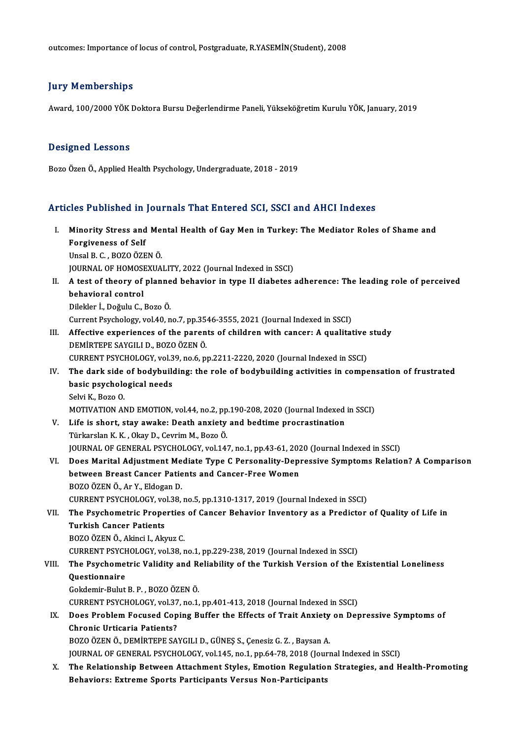outcomes: Importance of locus of control, Postgraduate, R.YASEMİN(Student), 2008

### **Jury Memberships**

Award,100/2000YÖKDoktoraBursuDeğerlendirmePaneli,YükseköğretimKuruluYÖK, January,2019

### Designed Lessons

Bozo Özen Ö., Applied Health Psychology, Undergraduate, 2018 - 2019

### Articles Published in Journals That Entered SCI, SSCI and AHCI Indexes

- rticles Published in Journals That Entered SCI, SSCI and AHCI Indexes<br>I. Minority Stress and Mental Health of Gay Men in Turkey: The Mediator Roles of Shame and<br>Forgivanese of Self From a biblioted in Minority Stress and<br>Forgiveness of Self<br>Hasel B. C., BOZO ÖZE Minority Stress and Me:<br>Forgiveness of Self<br>Unsal B. C. , BOZO ÖZEN Ö.<br>JOUPNAL OF HOMOSEVIJA Forgiveness of Self<br>Unsal B. C. , BOZO ÖZEN Ö.<br>JOURNAL OF HOMOSEXUALITY, 2022 (Journal Indexed in SSCI) Unsal B. C. , BOZO ÖZEN Ö.<br>JOURNAL OF HOMOSEXUALITY, 2022 (Journal Indexed in SSCI)<br>II. A test of theory of planned behavior in type II diabetes adherence: The leading role of perceived<br>hebevieral control **JOURNAL OF HOMOSI<br>A test of theory of<br>behavioral control**<br>Pilekler <sup>†</sup> Değulu C A test of theory of planne<br>behavioral control<br>Dilekler İ., Doğulu C., Bozo Ö.<br>Current Pevehelery vel 40. n behavioral control<br>Dilekler İ., Doğulu C., Bozo Ö.<br>Current Psychology, vol.40, no.7, pp.3546-3555, 2021 (Journal Indexed in SSCI) Dilekler İ., Doğulu C., Bozo Ö.<br>Current Psychology, vol.40, no.7, pp.3546-3555, 2021 (Journal Indexed in SSCI)<br>III. Affective experiences of the parents of children with cancer: A qualitative study<br>DEMIPTERE SAVCU LD, POZO Current Psychology, vol.40, no.7, pp.35<br>Affective experiences of the paren<br>DEMİRTEPE SAYGILI D., BOZO ÖZEN Ö.<br>CUPPENT PSYCHOLOCY, vol.39, no.6, n Affective experiences of the parents of children with cancer: A qualitative<br>DEMİRTEPE SAYGILI D., BOZO ÖZEN Ö.<br>CURRENT PSYCHOLOGY, vol.39, no.6, pp.2211-2220, 2020 (Journal Indexed in SSCI)<br>The dark side of hodypulding: th DEMİRTEPE SAYGILI D., BOZO ÖZEN Ö.<br>CURRENT PSYCHOLOGY, vol.39, no.6, pp.2211-2220, 2020 (Journal Indexed in SSCI)<br>IV. The dark side of bodybuilding: the role of bodybuilding activities in compensation of frustrated<br>bagis p CURRENT PSYCHOLOGY, vol.39, no.6, pp.2211-2220, 2020 (Journal Indexed in SSCI)<br>The dark side of bodybuilding: the role of bodybuilding activities in compo<br>basic psychological needs<br>Selvi K., Bozo O. The dark side<br>basic psycholo<br>Selvi K., Bozo O.<br>MOTIVATION AL basic psychological needs<br>Selvi K., Bozo O.<br>MOTIVATION AND EMOTION, vol.44, no.2, pp.190-208, 2020 (Journal Indexed in SSCI)<br>Life is shart, stay awake: Death anyiety and badtime precreatination Selvi K., Bozo O.<br>MOTIVATION AND EMOTION, vol.44, no.2, pp.190-208, 2020 (Journal Indexed<br>V. Life is short, stay awake: Death anxiety and bedtime procrastination<br>Türkerlen K.K., Olay D. Courim M. Bozo Ö. MOTIVATION AND EMOTION, vol.44, no.2, pp<br>Life is short, stay awake: Death anxiety<br>Türkarslan K. K. , Okay D., Cevrim M., Bozo Ö.<br>JOUPNAL OF CENERAL PSYCHOLOCY .vol.14' V. Life is short, stay awake: Death anxiety and bedtime procrastination<br>Türkarslan K. K. , Okay D., Cevrim M., Bozo Ö.<br>JOURNAL OF GENERAL PSYCHOLOGY, vol.147, no.1, pp.43-61, 2020 (Journal Indexed in SSCI) Türkarslan K. K. , Okay D., Cevrim M., Bozo Ö.<br>JOURNAL OF GENERAL PSYCHOLOGY, vol.147, no.1, pp.43-61, 2020 (Journal Indexed in SSCI)<br>VI. Does Marital Adjustment Mediate Type C Personality-Depressive Symptoms Relation? A C JOURNAL OF GENERAL PSYCHOLOGY, vol.147, no.1, pp.43-61, 202<br>Does Marital Adjustment Mediate Type C Personality-Dep<br>between Breast Cancer Patients and Cancer-Free Women<br>POZO ÖZEN Ö. Ar.Y. Eldogan D Does Marital Adjustment Me<br>between Breast Cancer Patie<br>BOZO ÖZEN Ö., Ar Y., Eldogan D.<br>CUPPENT PSYCHOLOCY vol 39 between Breast Cancer Patients and Cancer-Free Women<br>BOZO ÖZEN Ö., Ar Y., Eldogan D.<br>CURRENT PSYCHOLOGY, vol.38, no.5, pp.1310-1317, 2019 (Journal Indexed in SSCI) BOZO ÖZEN Ö., Ar Y., Eldogan D.<br>CURRENT PSYCHOLOGY, vol.38, no.5, pp.1310-1317, 2019 (Journal Indexed in SSCI)<br>VII. The Psychometric Properties of Cancer Behavior Inventory as a Predictor of Quality of Life in<br>Turkish CURRENT PSYCHOLOGY, vo<br>The Psychometric Prope<br>Turkish Cancer Patients<br>POZO ÖZEN Ö. Akinci L.Ak The Psychometric Properties<br>Turkish Cancer Patients<br>BOZO ÖZEN Ö., Akinci I., Akyuz C.<br>CUPPENT PSYCHOLOCY vel 39 r Turkish Cancer Patients<br>BOZO ÖZEN Ö., Akinci I., Akyuz C.<br>CURRENT PSYCHOLOGY, vol.38, no.1, pp.229-238, 2019 (Journal Indexed in SSCI)<br>The Beyshemetris Volidity and Peliability of the Turkish Version of the E BOZO ÖZEN Ö., Akinci I., Akyuz C.<br>CURRENT PSYCHOLOGY, vol.38, no.1, pp.229-238, 2019 (Journal Indexed in SSCI)<br>VIII. The Psychometric Validity and Reliability of the Turkish Version of the Existential Loneliness<br>Questionna CURRENT PSYCH<br>The Psychome<br>Questionnaire<br>Cekdemir Pulut Gokdemir-BulutB.P. ,BOZOÖZENÖ. **Questionnaire<br>Gokdemir-Bulut B. P. , BOZO ÖZEN Ö.<br>CURRENT PSYCHOLOGY, vol.37, no.1, pp.401-413, 2018 (Journal Indexed in SSCI)**<br>Dess Preblem Fesused Cening Buffer the Effects of Treit Anviety on Der IX. Does Problem Focused Coping Buffer the Effects of Trait Anxiety on Depressive Symptoms of Chronic Urticaria Patients? CURRENT PSYCHOLOGY, vol.37<br>Does Problem Focused Cop<br>Chronic Urticaria Patients?<br>POZO ÖZEN Ö. DEMIPTEDE SA BOZO ÖZEN Ö., DEMİRTEPE SAYGILI D., GÜNEŞ S., Çenesiz G. Z., Baysan A. JOURNAL OF GENERAL PSYCHOLOGY, vol.145, no.1, pp.64-78, 2018 (Journal Indexed in SSCI) BOZO ÖZEN Ö., DEMIRTEPE SAYGILI D., GÜNEŞ S., Çenesiz G. Z. , Baysan A.<br>JOURNAL OF GENERAL PSYCHOLOGY, vol.145, no.1, pp.64-78, 2018 (Journal Indexed in SSCI)<br>X. The Relationship Between Attachment Styles, Emotion Regulati
	- JOURNAL OF GENERAL PSYCHOLOGY, vol.145, no.1, pp.64-78, 2018 (Jour<br>The Relationship Between Attachment Styles, Emotion Regulatio<br>Behaviors: Extreme Sports Participants Versus Non-Participants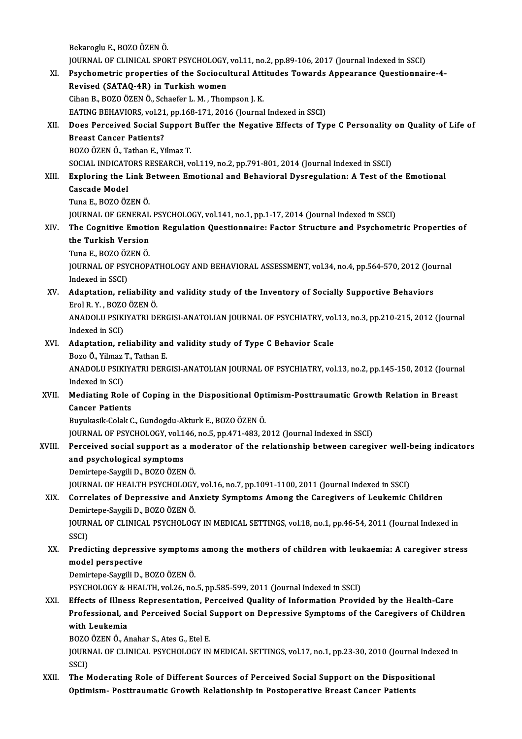BekarogluE.,BOZOÖZENÖ. Bekaroglu E., BOZO ÖZEN Ö.<br>JOURNAL OF CLINICAL SPORT PSYCHOLOGY, vol.11, no.2, pp.89-106, 2017 (Journal Indexed in SSCI)<br>Psychometris proporties of the Sociosultural Attitudes Towards Appearance Questionnei Bekaroglu E., BOZO ÖZEN Ö.<br>JOURNAL OF CLINICAL SPORT PSYCHOLOGY, vol.11, no.2, pp.89-106, 2017 (Journal Indexed in SSCI)<br>XI. Psychometric properties of the Sociocultural Attitudes Towards Appearance Questionnaire-4-<br>Rovise JOURNAL OF CLINICAL SPORT PSYCHOLOGY,<br>Psychometric properties of the Sociocul<br>Revised (SATAQ-4R) in Turkish women<br>Ciban B. BOZO ÖZEN Ö. Schaafer L.M. Than XI. Psychometric properties of the Sociocultural Attitudes Towards Appearance Questionnaire-4-<br>Revised (SATAQ-4R) in Turkish women<br>Cihan B., BOZO ÖZEN Ö., Schaefer L. M., Thompson J. K. EATING BEHAVIORS, vol.21, pp.168-171, 2016 (Journal Indexed in SSCI) Cihan B., BOZO ÖZEN Ö., Schaefer L. M. , Thompson J. K.<br>EATING BEHAVIORS, vol.21, pp.168-171, 2016 (Journal Indexed in SSCI)<br>XII. Does Perceived Social Support Buffer the Negative Effects of Type C Personality on Quality o EATING BEHAVIORS, vol.21<br>Does Perceived Social St<br>Breast Cancer Patients?<br>POZO ÖZEN Ö. Tethan E. Vi Does Perceived Social Support<br>Breast Cancer Patients?<br>BOZO ÖZEN Ö., Tathan E., Yilmaz T.<br>SOCIAL INDICATORS RESEARCH .v. Breast Cancer Patients?<br>BOZO ÖZEN Ö., Tathan E., Yilmaz T.<br>SOCIAL INDICATORS RESEARCH, vol.119, no.2, pp.791-801, 2014 (Journal Indexed in SSCI) BOZO ÖZEN Ö., Tathan E., Yilmaz T.<br>SOCIAL INDICATORS RESEARCH, vol.119, no.2, pp.791-801, 2014 (Journal Indexed in SSCI)<br>XIII. Exploring the Link Between Emotional and Behavioral Dysregulation: A Test of the Emotional<br> SOCIAL INDICATE<br>Exploring the L<br>Cascade Model<br>Tune E-BOZO ÖZ Exploring the Link B<br>Cascade Model<br>Tuna E., BOZO ÖZEN Ö.<br>JOUPMAL OF CENERAL Cascade Model<br>Tuna E., BOZO ÖZEN Ö.<br>JOURNAL OF GENERAL PSYCHOLOGY, vol.141, no.1, pp.1-17, 2014 (Journal Indexed in SSCI)<br>The Cognitive Emetion Regulation Questionnaire: Fester Strugture and Bayshome: Tuna E., BOZO ÖZEN Ö.<br>JOURNAL OF GENERAL PSYCHOLOGY, vol.141, no.1, pp.1-17, 2014 (Journal Indexed in SSCI)<br>XIV. The Cognitive Emotion Regulation Questionnaire: Factor Structure and Psychometric Properties of<br>the Turki **JOURNAL OF GENERAL<br>The Cognitive Emotion<br>the Turkish Version<br>Ture E-BOZO ÖZEN Ö** The Cognitive Emotion<br>the Turkish Version<br>Tuna E., BOZO ÖZEN Ö.<br>JOUPMAL OF PSYCHOP the Turkish Version<br>Tuna E., BOZO ÖZEN Ö.<br>JOURNAL OF PSYCHOPATHOLOGY AND BEHAVIORAL ASSESSMENT, vol.34, no.4, pp.564-570, 2012 (Journal<br>Indexed in SSCI) Tuna E., BOZO ÖZEN Ö. JOURNAL OF PSYCHOPATHOLOGY AND BEHAVIORAL ASSESSMENT, vol.34, no.4, pp.564-570, 2012 (Journ Indexed in SSCI)<br>XV. Adaptation, reliability and validity study of the Inventory of Socially Supportive Behaviors<br>Fral B. Y., BOZO Indexed in SSCI)<br><mark>Adaptation, reliability</mark><br>Erol R. Y. , BOZO ÖZEN Ö.<br>ANADOLU PSIKIVATELDI Adaptation, reliability and validity study of the Inventory of Socially Supportive Behaviors<br>Erol R. Y. , BOZO ÖZEN Ö.<br>ANADOLU PSIKIYATRI DERGISI-ANATOLIAN JOURNAL OF PSYCHIATRY, vol.13, no.3, pp.210-215, 2012 (Journal<br>Ind Erol R. Y. , BOZO ÖZEN Ö.<br>ANADOLU PSIKIYATRI DERGISI-ANATOLIAN JOURNAL OF PSYCHIATRY, vol.13, no.3, pp.210-215, 2012 (Journal<br>Indexed in SCI) ANADOLU PSIKIYATRI DERGISI-ANATOLIAN JOURNAL OF PSYCHIATRY, vol<br>Indexed in SCI)<br>XVI. Adaptation, reliability and validity study of Type C Behavior Scale<br>Pege Ö Vilmar T, Tathan F Indexed in SCI)<br><mark>Adaptation, reliability an</mark><br>Bozo Ö., Yilmaz T., Tathan E.<br>ANADOLU BSIKIYATELDERG Adaptation, reliability and validity study of Type C Behavior Scale<br>Bozo Ö., Yilmaz T., Tathan E.<br>ANADOLU PSIKIYATRI DERGISI-ANATOLIAN JOURNAL OF PSYCHIATRY, vol.13, no.2, pp.145-150, 2012 (Journal<br>Indeved in SCD. Bozo Ö., Yilmaz<br>ANADOLU PSIKI<br>Indexed in SCI)<br>Mediating Pol ANADOLU PSIKIYATRI DERGISI-ANATOLIAN JOURNAL OF PSYCHIATRY, vol.13, no.2, pp.145-150, 2012 (Journal Indexed in SCI)<br>XVII. Mediating Role of Coping in the Dispositional Optimism-Posttraumatic Growth Relation in Breast<br>Cance Indexed in SCI)<br>Mediating Role of Coping in the Dispositional Optimism-Posttraumatic Growth Relation in Breast<br>Cancer Patients Buyukasik-ColakC.,Gundogdu-AkturkE.,BOZOÖZENÖ. JOURNAL OF PSYCHOLOGY, vol.146, no.5, pp.471-483, 2012 (Journal Indexed in SSCI) Buyukasik-Colak C., Gundogdu-Akturk E., BOZO ÖZEN Ö.<br>JOURNAL OF PSYCHOLOGY, vol.146, no.5, pp.471-483, 2012 (Journal Indexed in SSCI)<br>XVIII. Perceived social support as a moderator of the relationship between caregiver wel JOURNAL OF PSYCHOLOGY, vol.1<br>Perceived social support as a<br>and psychological symptoms<br>Domintone Savrili D, POZO ÖZEN Perceived social support as a m<br>and psychological symptoms<br>Demirtepe-Saygili D., BOZO ÖZEN Ö.<br>JOUPMAL OF HEALTH PSYCHOLOCY and psychological symptoms<br>Demirtepe-Saygili D., BOZO ÖZEN Ö.<br>JOURNAL OF HEALTH PSYCHOLOGY, vol.16, no.7, pp.1091-1100, 2011 (Journal Indexed in SSCI)<br>Connelates of Dennessive and Anviety Symptoms Ameng the Consgivers of L Demirtepe-Saygili D., BOZO ÖZEN Ö.<br>JOURNAL OF HEALTH PSYCHOLOGY, vol.16, no.7, pp.1091-1100, 2011 (Journal Indexed in SSCI)<br>XIX. Correlates of Depressive and Anxiety Symptoms Among the Caregivers of Leukemic Children<br>Demir JOURNAL OF HEALTH PSYCHOLOGY<br>Correlates of Depressive and Al<br>Demirtepe-Saygili D., BOZO ÖZEN Ö.<br>JOUPNAL OF CLINICAL PSYCHOLOG Correlates of Depressive and Anxiety Symptoms Among the Caregivers of Leukemic Children<br>Demirtepe-Saygili D., BOZO ÖZEN Ö.<br>JOURNAL OF CLINICAL PSYCHOLOGY IN MEDICAL SETTINGS, vol.18, no.1, pp.46-54, 2011 (Journal Indexed i Demir<br>JOURN<br>SSCI)<br>Predi JOURNAL OF CLINICAL PSYCHOLOGY IN MEDICAL SETTINGS, vol.18, no.1, pp.46-54, 2011 (Journal Indexed in<br>SSCI)<br>XX. Predicting depressive symptoms among the mothers of children with leukaemia: A caregiver stress<br>model perspecti SSCI)<br>Predicting depress<br>model perspective<br>Pemirtone Sevgili D Predicting depressive symptom:<br>model perspective<br>Demirtepe-Saygili D., BOZO ÖZEN Ö.<br>PSYCHOLOCY & HEALTH vol 26 no model perspective<br>Demirtepe-Saygili D., BOZO ÖZEN Ö.<br>PSYCHOLOGY & HEALTH, vol.26, no.5, pp.585-599, 2011 (Journal Indexed in SSCI) Demirtepe-Saygili D., BOZO ÖZEN Ö.<br>PSYCHOLOGY & HEALTH, vol.26, no.5, pp.585-599, 2011 (Journal Indexed in SSCI)<br>XXI. Effects of Illness Representation, Perceived Quality of Information Provided by the Health-Care<br>Professi Professional, and Perceived Social Support on Depressive Symptoms of the Caregivers of Children Effects of Illnes<br>Professional, a<br>with Leukemia<br>POZO ÖZEN Ö. A Professional, and Perceived Social S<br>with Leukemia<br>BOZO ÖZEN Ö., Anahar S., Ates G., Etel E.<br>JOUPMAL OF CLINICAL PSYCHOLOCY IN JOURNAL OF CLINICAL PSYCHOLOGY IN MEDICAL SETTINGS, vol.17, no.1, pp.23-30, 2010 (Journal Indexed in<br>SSCI) BOZO<br>JOURN<br>SSCI)<br>Than XXII. The Moderating Role of Different Sources of Perceived Social Support on the Dispositional Optimism- Posttraumatic Growth Relationship in Postoperative Breast Cancer Patients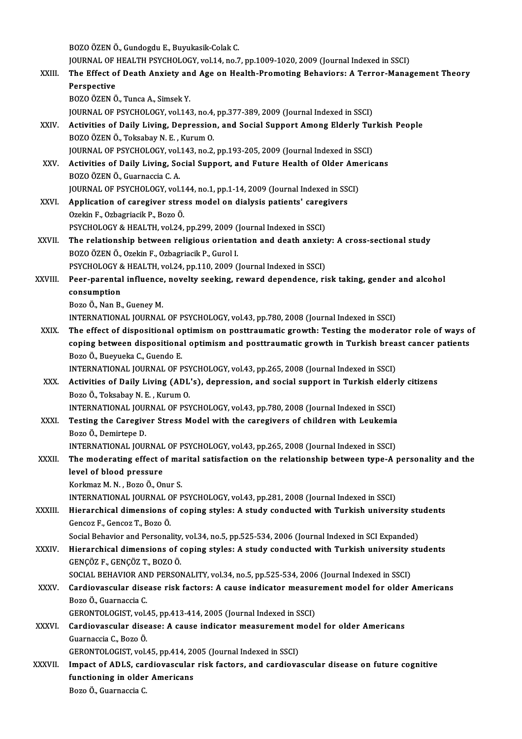BOZOÖZENÖ.,GundogduE.,Buyukasik-ColakC. BOZO ÖZEN Ö., Gundogdu E., Buyukasik-Colak C.<br>JOURNAL OF HEALTH PSYCHOLOGY, vol.14, no.7, pp.1009-1020, 2009 (Journal Indexed in SSCI)<br>The Effect of Death Anviety and Age on Health Premeting Behaviers: A Terrer Manag BOZO ÖZEN Ö., Gundogdu E., Buyukasik-Colak C.<br>JOURNAL OF HEALTH PSYCHOLOGY, vol.14, no.7, pp.1009-1020, 2009 (Journal Indexed in SSCI)<br>XXIII. The Effect of Death Anxiety and Age on Health-Promoting Behaviors: A Terror-**JOURNAL OF |<br>The Effect o<br>Perspective<br>POZO ÖZEN Ö** The Effect of Death Anxiety an<br>Perspective<br>BOZO ÖZEN Ö., Tunca A., Simsek Y.<br>JOUPNAL OF PSYCHOLOCY vel 14: Perspective<br>BOZO ÖZEN Ö., Tunca A., Simsek Y.<br>JOURNAL OF PSYCHOLOGY, vol.143, no.4, pp.377-389, 2009 (Journal Indexed in SSCI) BOZO ÖZEN Ö., Tunca A., Simsek Y.<br>JOURNAL OF PSYCHOLOGY, vol.143, no.4, pp.377-389, 2009 (Journal Indexed in SSCI)<br>XXIV. Activities of Daily Living, Depression, and Social Support Among Elderly Turkish People<br>POZO ÖZEN JOURNAL OF PSYCHOLOGY, vol.143, no.4,<br>Activities of Daily Living, Depressior<br>BOZO ÖZEN Ö., Toksabay N. E. , Kurum O.<br>JOUPNAL OF PSYCHOLOCY, vol.143, no.3 Activities of Daily Living, Depression, and Social Support Among Elderly Turn<br>2020 ÖZEN Ö., Toksabay N. E. , Kurum O.<br>JOURNAL OF PSYCHOLOGY, vol.143, no.2, pp.193-205, 2009 (Journal Indexed in SSCI) BOZO ÖZEN Ö., Toksabay N. E. , Kurum O.<br>JOURNAL OF PSYCHOLOGY, vol.143, no.2, pp.193-205, 2009 (Journal Indexed in SSCI)<br>XXV. Activities of Daily Living, Social Support, and Future Health of Older Americans<br>POZO ÖZEN Ö. Cu **JOURNAL OF PSYCHOLOGY, vol.<br>Activities of Daily Living, So<br>BOZO ÖZEN Ö., Guarnaccia C. A.<br>JOUPNAL OF PSYCHOLOGY, vol.** Activities of Daily Living, Social Support, and Future Health of Older Ame<br>BOZO ÖZEN Ö., Guarnaccia C. A.<br>JOURNAL OF PSYCHOLOGY, vol.144, no.1, pp.1-14, 2009 (Journal Indexed in SSCI)<br>Annligation of canogiver stress model BOZO ÖZEN Ö., Guarnaccia C. A.<br>JOURNAL OF PSYCHOLOGY, vol.144, no.1, pp.1-14, 2009 (Journal Indexed in SS)<br>XXVI. Application of caregiver stress model on dialysis patients' caregivers<br>Qualin E. Orbagniasik B. Bozo Ö. JOURNAL OF PSYCHOLOGY, vol.1<br>Application of caregiver stre:<br>Ozekin F., Ozbagriacik P., Bozo Ö.<br>PSYCHOLOCY & HEALTH vol.24 Application of caregiver stress model on dialysis patients' careg<br>Ozekin F., Ozbagriacik P., Bozo Ö.<br>PSYCHOLOGY & HEALTH, vol.24, pp.299, 2009 (Journal Indexed in SSCI)<br>The relationship between religious exientation and de Ozekin F., Ozbagriacik P., Bozo Ö.<br>PSYCHOLOGY & HEALTH, vol.24, pp.299, 2009 (Journal Indexed in SSCI)<br>XXVII. The relationship between religious orientation and death anxiety: A cross-sectional study<br>POZO ÖZEN Ö. Ozekin E. PSYCHOLOGY & HEALTH, vol.24, pp.299, 2009 (<br>The relationship between religious orienta<br>BOZO ÖZEN Ö., Ozekin F., Ozbagriacik P., Gurol I.<br>BSYCHOLOGY & HEALTH vol.24, pp.110, 2000 ( The relationship between religious orientation and death anxiet<br>BOZO ÖZEN Ö., Ozekin F., Ozbagriacik P., Gurol I.<br>PSYCHOLOGY & HEALTH, vol.24, pp.110, 2009 (Journal Indexed in SSCI)<br>Peer perental influence, povelty seeking BOZO ÖZEN Ö., Ozekin F., Ozbagriacik P., Gurol I.<br>PSYCHOLOGY & HEALTH, vol.24, pp.110, 2009 (Journal Indexed in SSCI)<br>XXVIII. Peer-parental influence, novelty seeking, reward dependence, risk taking, gender and alcohol PSYCHOLOGY 8<br>Peer-parental<br>consumption<br>Pere Ö. Nan P. Peer-parental influence<br>consumption<br>Bozo Ö., Nan B., Gueney M.<br>INTERNATIONAL IOURNAL consumption<br>Bozo Ö., Nan B., Gueney M.<br>INTERNATIONAL JOURNAL OF PSYCHOLOGY, vol.43, pp.780, 2008 (Journal Indexed in SSCI) Bozo Ö., Nan B., Gueney M.<br>INTERNATIONAL JOURNAL OF PSYCHOLOGY, vol.43, pp.780, 2008 (Journal Indexed in SSCI)<br>XXIX. The effect of dispositional optimism on posttraumatic growth: Testing the moderator role of ways of<br>conin INTERNATIONAL JOURNAL OF PSYCHOLOGY, vol.43, pp.780, 2008 (Journal Indexed in SSCI)<br>The effect of dispositional optimism on posttraumatic growth: Testing the moderator role of ways o<br>coping between dispositional optimism a The effect of dispositional of<br>coping between dispositiona<br>Bozo Ö., Bueyueka C., Guendo E.<br>INTERNATIONAL JOURNAL OF B coping between dispositional optimism and posttraumatic growth in Turkish breast cancer patients<br>Bozo Ö., Bueyueka C., Guendo E.<br>INTERNATIONAL JOURNAL OF PSYCHOLOGY, vol.43, pp.265, 2008 (Journal Indexed in SSCI) Bozo Ö., Bueyueka C., Guendo E.<br>INTERNATIONAL JOURNAL OF PSYCHOLOGY, vol.43, pp.265, 2008 (Journal Indexed in SSCI)<br>XXX. Activities of Daily Living (ADL's), depression, and social support in Turkish elderly citizens<br>Pege Ö INTERNATIONAL JOURNAL OF PSY<br>Activities of Daily Living (ADL<br>Bozo Ö., Toksabay N. E. , Kurum O.<br>INTERNATIONAL JOURNAL OF PSY Activities of Daily Living (ADL's), depression, and social support in Turkish elder<br>Bozo Ö., Toksabay N. E. , Kurum O.<br>INTERNATIONAL JOURNAL OF PSYCHOLOGY, vol.43, pp.780, 2008 (Journal Indexed in SSCI)<br>Testing the Caragiu Bozo Ö., Toksabay N. E., Kurum O.<br>INTERNATIONAL JOURNAL OF PSYCHOLOGY, vol.43, pp.780, 2008 (Journal Indexed in SSCI)<br>XXXI. Testing the Caregiver Stress Model with the caregivers of children with Leukemia<br>Roge Ö. Demirtene INTERNATIONAL JOUI<br>Testing the Caregive<br>Bozo Ö., Demirtepe D.<br>INTERNATIONAL JOUI Testing the Caregiver Stress Model with the caregivers of children with Leukemia<br>Bozo Ö., Demirtepe D.<br>INTERNATIONAL JOURNAL OF PSYCHOLOGY, vol.43, pp.265, 2008 (Journal Indexed in SSCI) Bozo Ö., Demirtepe D.<br>INTERNATIONAL JOURNAL OF PSYCHOLOGY, vol.43, pp.265, 2008 (Journal Indexed in SSCI)<br>XXXII. The moderating effect of marital satisfaction on the relationship between type-A personality and the<br>lavel of INTERNATIONAL JOURNAL<br>The moderating effect of<br>level of blood pressure The moderating effect of ma<br>level of blood pressure<br>Korkmaz M.N., Bozo Ö., Onur S.<br>INTERNATIONAL JOURNAL OF R level of blood pressure<br>Korkmaz M. N. , Bozo Ö., Onur S.<br>INTERNATIONAL JOURNAL OF PSYCHOLOGY, vol.43, pp.281, 2008 (Journal Indexed in SSCI)<br>Hierorshicel dimensions of soning styles: A study sondusted with Turkish univers Korkmaz M. N. , Bozo Ö., Onur S.<br>INTERNATIONAL JOURNAL OF PSYCHOLOGY, vol.43, pp.281, 2008 (Journal Indexed in SSCI)<br>XXXIII. Hierarchical dimensions of coping styles: A study conducted with Turkish university students<br>Cons INTERNATIONAL JOURNAL O<br>Hierarchical dimensions c<br>Gencoz F., Gencoz T., Bozo Ö.<br>Social Behavier and Bersonal Hierarchical dimensions of coping styles: A study conducted with Turkish university studencoz F., Gencoz T., Bozo Ö.<br>Social Behavior and Personality, vol.34, no.5, pp.525-534, 2006 (Journal Indexed in SCI Expanded)<br>Hierarc Gencoz F., Gencoz T., Bozo Ö.<br>Social Behavior and Personality, vol.34, no.5, pp.525-534, 2006 (Journal Indexed in SCI Expanded)<br>XXXIV. Hierarchical dimensions of coping styles: A study conducted with Turkish university GENÇÖZ F.,GENÇÖZ T.,BOZOÖ. Hierarchical dimensions of coping styles: A study conducted with Turkish university :<br>GENÇÖZ F., GENÇÖZ T., BOZO Ö.<br>SOCIAL BEHAVIOR AND PERSONALITY, vol.34, no.5, pp.525-534, 2006 (Journal Indexed in SSCI)<br>Cardiousseular d GENÇÖZ F., GENÇÖZ T., BOZO Ö.<br>SOCIAL BEHAVIOR AND PERSONALITY, vol.34, no.5, pp.525-534, 2006 (Journal Indexed in SSCI)<br>XXXV. Cardiovascular disease risk factors: A cause indicator measurement model for older Americans SOCIAL BEHAVIOR AN<br><mark>Cardiovascular dise</mark><br>Bozo Ö., Guarnaccia C.<br>CERONTOLOCIST vel Cardiovascular disease risk factors: A cause indicator measur<br>Bozo Ö., Guarnaccia C.<br>GERONTOLOGIST, vol.45, pp.413-414, 2005 (Journal Indexed in SSCI)<br>Cardiovascular disease: A sause indicator measurement mode Bozo Ö., Guarnaccia C.<br>GERONTOLOGIST, vol.45, pp.413-414, 2005 (Journal Indexed in SSCI)<br>XXXVI. Cardiovascular disease: A cause indicator measurement model for older Americans GuarnacciaC.,BozoÖ. Cardiovascular disease: A cause indicator measurement n<br>Guarnaccia C., Bozo Ö.<br>GERONTOLOGIST, vol.45, pp.414, 2005 (Journal Indexed in SSCI)<br>Impest of ADLS, condiousesular risk fastare, and candious Guarnaccia C., Bozo Ö.<br>GERONTOLOGIST, vol.45, pp.414, 2005 (Journal Indexed in SSCI)<br>XXXVII. Impact of ADLS, cardiovascular risk factors, and cardiovascular disease on future cognitive<br>functioning in older Americans GERONTOLOGIST, vol.45, pp.414, 20<br>Impact of ADLS, cardiovascular<br>functioning in older Americans<br>Para Ö Cuarnassia C Impact of ADLS, car<br>functioning in older<br>Bozo Ö., Guarnaccia C.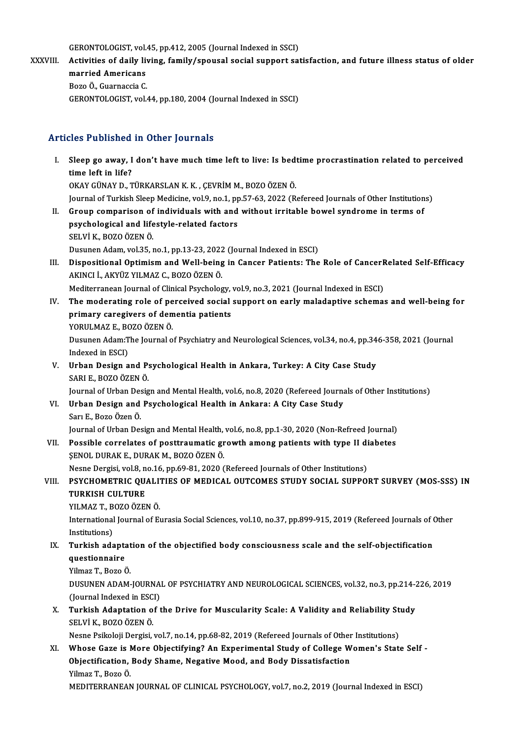GERONTOLOGIST, vol.45, pp.412, 2005 (Journal Indexed in SSCI)<br>Activities of daily living, family (anougel social support asi

GERONTOLOGIST, vol.45, pp.412, 2005 (Journal Indexed in SSCI)<br>XXXVIII. Activities of daily living, family/spousal social support satisfaction, and future illness status of older GERONTOLOGIST, vol.<br>Activities of daily liv<br>married Americans<br>Bors Ö. Suarnassia S Activities of daily liv<br>married Americans<br>Bozo Ö., Guarnaccia C.<br>CERONTOLOCIST vol married Americans<br>Bozo Ö., Guarnaccia C.<br>GERONTOLOGIST, vol.44, pp.180, 2004 (Journal Indexed in SSCI)

### Articles Published in Other Journals

rticles Published in Other Journals<br>I. Sleep go away, I don't have much time left to live: Is bedtime procrastination related to perceived<br>time left in life? sleep go away, I<br>time left in life?<br>OVAY CÜNAY D. T time left in life?<br>OKAY GÜNAY D., TÜRKARSLAN K. K. , ÇEVRİM M., BOZO ÖZEN Ö. time left in life?<br>OKAY GÜNAY D., TÜRKARSLAN K. K. , ÇEVRİM M., BOZO ÖZEN Ö.<br>Journal of Turkish Sleep Medicine, vol.9, no.1, pp.57-63, 2022 (Refereed Journals of Other Institutions)<br>Croup comporison of individuals with and II. Group comparison of individuals with and without irritable bowel syndrome in terms of psychological and lifestyle-related factors Journal of Turkish Sleep Medicine, vol.9, no.1, pp<br>Group comparison of individuals with and<br>psychological and lifestyle-related factors<br>SELVLK, BOZO ÖZEN Ö SELVİK.,BOZOÖZENÖ. Dusunen Adam, vol.35, no.1, pp.13-23, 2022 (Journal Indexed in ESCI) SELVİ K., BOZO ÖZEN Ö.<br>Dusunen Adam, vol.35, no.1, pp.13-23, 2022 (Journal Indexed in ESCI)<br>III. Dispositional Optimism and Well-being in Cancer Patients: The Role of CancerRelated Self-Efficacy<br>ARINGLI ARVÜZ VU MAZ G. BOZ Dusunen Adam, vol.35, no.1, pp.13-23, 2022<br>Dispositional Optimism and Well-being<br>AKINCI İ., AKYÜZ YILMAZ C., BOZO ÖZEN Ö.<br>Mediterranean Journal of Clinical Baysholog Dispositional Optimism and Well-being in Cancer Patients: The Role of Cancer H<br>AKINCI İ., AKYÜZ YILMAZ C., BOZO ÖZEN Ö.<br>Mediterranean Journal of Clinical Psychology, vol.9, no.3, 2021 (Journal Indexed in ESCI)<br>The mederati AKINCI İ., AKYÜZ YILMAZ C., BOZO ÖZEN Ö.<br>Mediterranean Journal of Clinical Psychology, vol.9, no.3, 2021 (Journal Indexed in ESCI)<br>IV. The moderating role of perceived social support on early maladaptive schemas and we Mediterranean Journal of Clinical Psychology,<br>The moderating role of perceived social<br>primary caregivers of dementia patients<br>YOBUI MAZ E, BOZO ÖZEN Ö The moderating role of pe<br>primary caregivers of den<br>YORULMAZ E., BOZO ÖZEN Ö.<br>Dusunon Adam:The Journal o primary caregivers of dementia patients<br>YORULMAZ E., BOZO ÖZEN Ö.<br>Dusunen Adam:The Journal of Psychiatry and Neurological Sciences, vol.34, no.4, pp.346-358, 2021 (Journal<br>Indexed in ESCL) YORULMAZ E., BO<br>Dusunen Adam:T<br>Indexed in ESCI)<br>Urban Dasian a Dusunen Adam:The Journal of Psychiatry and Neurological Sciences, vol.34, no.4, pp.34<br>Indexed in ESCI)<br>V. Urban Design and Psychological Health in Ankara, Turkey: A City Case Study<br>SABLE POZO ÖZEN Ö Indexed in ESCI)<br>V. Urban Design and Psychological Health in Ankara, Turkey: A City Case Study<br>SARI E., BOZO ÖZEN Ö. Journal of Urban Design and Mental Health, vol.6, no.8, 2020 (Refereed Journals of Other Institutions) SARI E., BOZO ÖZEN Ö.<br>Journal of Urban Design and Mental Health, vol.6, no.8, 2020 (Refereed Journa<br>VI. Urban Design and Psychological Health in Ankara: A City Case Study<br>Sam E. Bogo Özen Ö. Journal of Urban Des<br><mark>Urban Design and</mark><br>Sarı E., Bozo Özen Ö.<br>Journal of Urban Des Urban Design and Psychological Health in Ankara: A City Case Study<br>Sarı E., Bozo Özen Ö.<br>Journal of Urban Design and Mental Health, vol.6, no.8, pp.1-30, 2020 (Non-Refreed Journal)<br>Possible servelates of posttraumatis speu Sarı E., Bozo Özen Ö.<br>Journal of Urban Design and Mental Health, vol.6, no.8, pp.1-30, 2020 (Non-Refreed Journal)<br>VII. Possible correlates of posttraumatic growth among patients with type II diabetes<br>SENOL DUBAK E. DUBAK M Journal of Urban Design and Mental Health,<br>Possible correlates of posttraumatic gr<br>ŞENOL DURAK E., DURAK M., BOZO ÖZEN Ö.<br>Neane Dergisi val 8, no 16, np 60, 81, 2020 ( Possible correlates of posttraumatic growth among patients with type II di<br>ŞENOL DURAK E., DURAK M., BOZO ÖZEN Ö.<br>Nesne Dergisi, vol.8, no.16, pp.69-81, 2020 (Refereed Journals of Other Institutions)<br>RSYCHOMETRIC OUALITIES SENOL DURAK E., DURAK M., BOZO ÖZEN Ö.<br>Nesne Dergisi, vol.8, no.16, pp.69-81, 2020 (Refereed Journals of Other Institutions)<br>VIII. PSYCHOMETRIC QUALITIES OF MEDICAL OUTCOMES STUDY SOCIAL SUPPORT SURVEY (MOS-SSS) IN<br> Nesne Dergisi, vol.8, n<br>PSYCHOMETRIC QU.<br>TURKISH CULTURE<br>VILMAZ T. POZO ÖZEL PSYCHOMETRIC QUALI<br>TURKISH CULTURE<br>YILMAZ T., BOZO ÖZEN Ö.<br>International Journal of Ex TURKISH CULTURE<br>YILMAZ T., BOZO ÖZEN Ö.<br>International Journal of Eurasia Social Sciences, vol.10, no.37, pp.899-915, 2019 (Refereed Journals of Other<br>Institutions) YILMAZ T., B<br>International<br>Institutions)<br>Turkish ada International Journal of Eurasia Social Sciences, vol.10, no.37, pp.899-915, 2019 (Refereed Journals of Constitutions)<br>IX. Turkish adaptation of the objectified body consciousness scale and the self-objectification<br>avestio Institutions)<br>Turkish adapta<br>questionnaire<br><sup>Vilmar T. Poro é</sup> Turkish adaptat<br>questionnaire<br>Yilmaz T., Bozo Ö.<br>DUSUNEN ADAM questionnaire<br>Yilmaz T., Bozo Ö.<br>DUSUNEN ADAM-JOURNAL OF PSYCHIATRY AND NEUROLOGICAL SCIENCES, vol.32, no.3, pp.214-226, 2019<br>(Jaurnal Indoved in ESCI) Yilmaz T., Bozo Ö.<br>DUSUNEN ADAM-JOURNA<br>(Journal Indexed in ESCI)<br>Turkish Adaptation of t DUSUNEN ADAM-JOURNAL OF PSYCHIATRY AND NEUROLOGICAL SCIENCES, vol.32, no.3, pp.214-2<br>(Journal Indexed in ESCI)<br>X. Turkish Adaptation of the Drive for Muscularity Scale: A Validity and Reliability Study<br>SELVI & POZO ÖZEN Ö (Journal Indexed in ESC)<br>Turkish Adaptation o<br>SELVİ K., BOZO ÖZEN Ö.<br>Neane Beikeleii Dexsisi Turkish Adaptation of the Drive for Muscularity Scale: A Validity and Reliability St<br>SELVİ K., BOZO ÖZEN Ö.<br>Nesne Psikoloji Dergisi, vol.7, no.14, pp.68-82, 2019 (Refereed Journals of Other Institutions)<br>Whose Care is Mare SELVİ K., BOZO ÖZEN Ö.<br>Nesne Psikoloji Dergisi, vol.7, no.14, pp.68-82, 2019 (Refereed Journals of Other Institutions)<br>XI. Whose Gaze is More Objectifying? An Experimental Study of College Women's State Self -<br>Objectificat Nesne Psikoloji Dergisi, vol.7, no.14, pp.68-82, 2019 (Refereed Journals of Other Institutions)<br>Whose Gaze is More Objectifying? An Experimental Study of College Women's Stat<br>Objectification, Body Shame, Negative Mood, and Whose Gaze is I<br>Objectification,<br>Yilmaz T., Bozo Ö.<br>MEDITERRANEAN

MEDITERRANEAN JOURNAL OF CLINICAL PSYCHOLOGY, vol.7, no.2, 2019 (Journal Indexed in ESCI)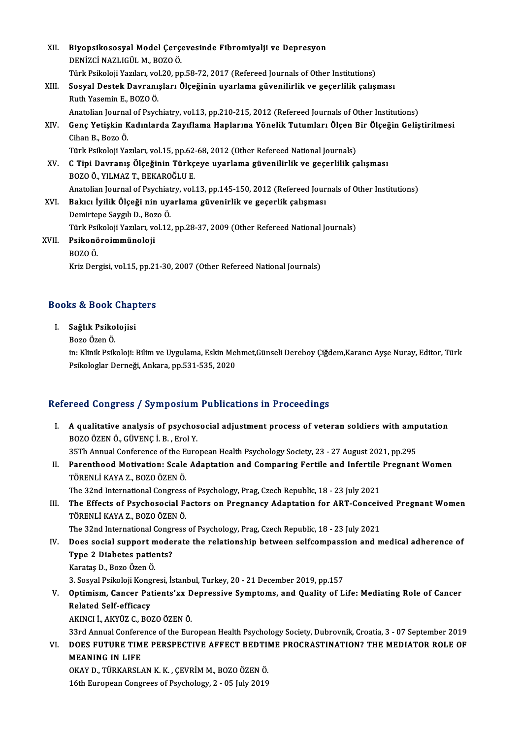| XII.  | Biyopsikososyal Model Çerçevesinde Fibromiyalji ve Depresyon                                        |
|-------|-----------------------------------------------------------------------------------------------------|
|       | DENIZCI NAZLIGÜL M., BOZO Ö.                                                                        |
|       | Türk Psikoloji Yazıları, vol.20, pp.58-72, 2017 (Refereed Journals of Other Institutions)           |
| XIII. | Sosyal Destek Davranışları Ölçeğinin uyarlama güvenilirlik ve geçerlilik çalışması                  |
|       | Ruth Yasemin E, BOZO Ö.                                                                             |
|       | Anatolian Journal of Psychiatry, vol.13, pp.210-215, 2012 (Refereed Journals of Other Institutions) |
| XIV.  | Genç Yetişkin Kadınlarda Zayıflama Haplarına Yönelik Tutumları Ölçen Bir Ölçeğin Geliştirilmesi     |
|       | Cihan B., Bozo Ö.                                                                                   |
|       | Türk Psikoloji Yazıları, vol.15, pp.62-68, 2012 (Other Refereed National Journals)                  |
| XV.   | C Tipi Davranış Ölçeğinin Türkçeye uyarlama güvenilirlik ve geçerlilik çalışması                    |
|       | BOZO Ö., YILMAZ T., BEKAROĞLU E.                                                                    |
|       | Anatolian Journal of Psychiatry, vol.13, pp.145-150, 2012 (Refereed Journals of Other Institutions) |
| XVI.  | Bakıcı İyilik Ölçeği nin uyarlama güvenirlik ve geçerlik çalışması                                  |
|       | Demirtepe Saygılı D., Bozo Ö.                                                                       |
|       | Türk Psikoloji Yazıları, vol.12, pp.28-37, 2009 (Other Refereed National Journals)                  |
| XVII. | Psikonöroimmünoloji                                                                                 |
|       | BOZO Ö.                                                                                             |
|       | Kriz Dergisi, vol.15, pp.21-30, 2007 (Other Refereed National Journals)                             |
|       |                                                                                                     |

## kriz bergisi, vol.15, pp.21<br>Books & Book Chapters ooks & Book Chap<br>I. Sağlık Psikolojisi<br>Bore Ösen Ö

I. Sağlık Psikolojisi<br>Bozo Özen Ö.

S<mark>ağlık Psikolojisi</mark><br>Bozo Özen Ö.<br>in: Klinik Psikoloji: Bilim ve Uygulama, Eskin Mehmet,Günseli Dereboy Çiğdem,Karancı Ayşe Nuray, Editor, Türk<br>Psikologlar Derneği, Ankara, pp.531,535,3030 Bozo Özen Ö.<br>in: Klinik Psikoloji: Bilim ve Uygulama, Eskin Mel<br>Psikologlar Derneği, Ankara, pp.531-535, 2020

# Psikologlar Derneği, Ankara, pp.531-535, 2020<br>Refereed Congress / Symposium Publications in Proceedings

- efereed Congress / Symposium Publications in Proceedings<br>I. A qualitative analysis of psychosocial adjustment process of veteran soldiers with amputation<br>ROZO ÖZEN Ö CÜVENC İ. B. Erel Y. BOZO ÖZENÖ, GÜVENÇİ.<br>BOZOÖZENÖ., GÜVENÇİ.B., Erol Y. A qualitative analysis of psychosocial adjustment process of veteran soldiers with amp<br>BOZO ÖZEN Ö., GÜVENÇ İ. B. , Erol Y.<br>35Th Annual Conference of the European Health Psychology Society, 23 - 27 August 2021, pp.295<br>Pere BOZO ÖZEN Ö., GÜVENÇ İ. B. , Erol Y.<br>35Th Annual Conference of the European Health Psychology Society, 23 - 27 August 2021, pp.295<br>II. Parenthood Motivation: Scale Adaptation and Comparing Fertile and Infertile Pregnan
- 35Th Annual Conference of the E<br>Parenthood Motivation: Scale<br>TÖRENLİ KAYA Z., BOZO ÖZEN Ö.<br>The 32nd International Congress TÖRENLİ KAYA Z., BOZO ÖZEN Ö.<br>The 32nd International Congress of Psychology, Prag, Czech Republic, 18 - 23 July 2021

TÖRENLİ KAYA Z., BOZO ÖZEN Ö.<br>II. The 32nd International Congress of Psychology, Prag, Czech Republic, 18 - 23 July 2021<br>III. The Effects of Psychosocial Factors on Pregnancy Adaptation for ART-Conceived Pregnant Women<br>TÖR The 32nd International Congress<br>The Effects of Psychosocial F<br>TÖRENLİ KAYA Z., BOZO ÖZEN Ö.<br>The 32nd International Congress The Effects of Psychosocial Factors on Pregnancy Adaptation for ART-Conceiv<br>TÖRENLİ KAYA Z., BOZO ÖZEN Ö.<br>The 32nd International Congress of Psychology, Prag, Czech Republic, 18 - 23 July 2021<br>Dess sosial sunnant moderate

- TÖRENLİ KAYA Z., BOZO ÖZEN Ö.<br>The 32nd International Congress of Psychology, Prag, Czech Republic, 18 23 July 2021<br>IV. Does social support moderate the relationship between selfcompassion and medical adherence of<br>Typ The 32nd International Congr<br>Does social support mode<br>Type 2 Diabetes patients?<br>Karatas D. Bage Özen Ö Does social support m<br>Type 2 Diabetes patie<br>Karataş D., Bozo Özen Ö.<br><sup>2</sup> Sosval Bsikoloji Kongr <mark>Type 2 Diabetes patients?</mark><br>Karataş D., Bozo Özen Ö.<br>3. Sosyal Psikoloji Kongresi, İstanbul, Turkey, 20 - 21 December 2019, pp.157<br>Ontimiam, Gangar Patiente'uv Dennessiye Symptoms, and Quality of L
	-

Karataş D., Bozo Özen Ö.<br>3. Sosyal Psikoloji Kongresi, İstanbul, Turkey, 20 - 21 December 2019, pp.157<br>V. Optimism, Cancer Patients'xx Depressive Symptoms, and Quality of Life: Mediating Role of Cancer<br>Related Self-eff **3. Sosyal Psikoloji Kong<br>Optimism, Cancer Pat<br>Related Self-efficacy**<br>AKINCLL AKYÜZ C. PO.

AKINCI İ.,AKYÜZ C.,BOZOÖZENÖ.

33rd Annual Conference of the European Health Psychology Society, Dubrovnik, Croatia, 3 - 07 September 2019

AKINCI İ., AKYÜZ C., BOZO ÖZEN Ö.<br>33rd Annual Conference of the European Health Psychology Society, Dubrovnik, Croatia, 3 - 07 September 2019<br>VI. DOES FUTURE TIME PERSPECTIVE AFFECT BEDTIME PROCRASTINATION? THE MEDIATO MEANING IN LIFE<br>OKAY D., TÜRKARSLAN K. K. , CEVRİM M., BOZO ÖZEN Ö. DOES FUTURE TIME PERSPECTIVE AFFECT BEDTII<br>MEANING IN LIFE<br>OKAY D., TÜRKARSLAN K. K. , ÇEVRİM M., BOZO ÖZEN Ö.<br>16th European Congrees of Beychology 2, . 05 July 2019

16th European Congrees of Psychology, 2 - 05 July 2019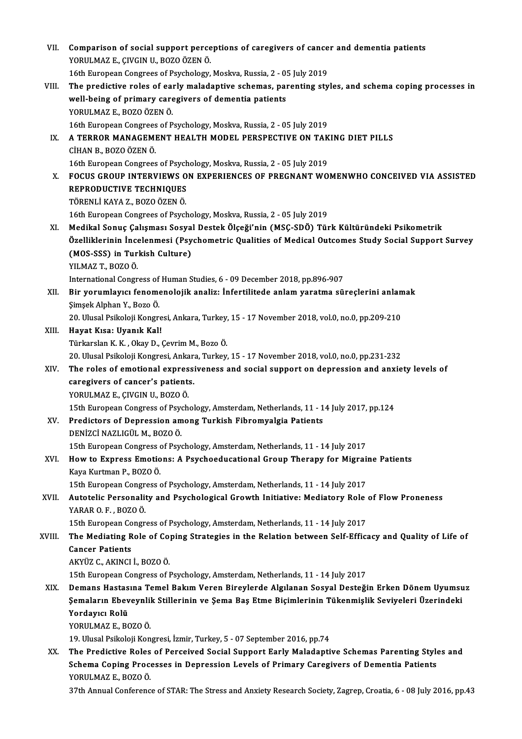| VII.   | Comparison of social support perceptions of caregivers of cancer and dementia patients                                                                                        |
|--------|-------------------------------------------------------------------------------------------------------------------------------------------------------------------------------|
|        | YORULMAZ E., ÇIVGIN U., BOZO ÖZEN Ö.                                                                                                                                          |
|        | 16th European Congrees of Psychology, Moskva, Russia, 2 - 05 July 2019                                                                                                        |
| VIII.  | The predictive roles of early maladaptive schemas, parenting styles, and schema coping processes in                                                                           |
|        | well-being of primary caregivers of dementia patients                                                                                                                         |
|        | YORULMAZ E, BOZO ÖZEN Ö.                                                                                                                                                      |
|        | 16th European Congrees of Psychology, Moskva, Russia, 2 - 05 July 2019                                                                                                        |
| IX.    | A TERROR MANAGEMENT HEALTH MODEL PERSPECTIVE ON TAKING DIET PILLS                                                                                                             |
|        | CİHAN B., BOZO ÖZEN Ö.                                                                                                                                                        |
| X.     | 16th European Congrees of Psychology, Moskva, Russia, 2 - 05 July 2019<br>FOCUS GROUP INTERVIEWS ON EXPERIENCES OF PREGNANT WOMENWHO CONCEIVED VIA ASSISTED                   |
|        |                                                                                                                                                                               |
|        | REPRODUCTIVE TECHNIQUES<br>TÖRENLİ KAYA Z., BOZO ÖZEN Ö.                                                                                                                      |
|        | 16th European Congrees of Psychology, Moskva, Russia, 2 - 05 July 2019                                                                                                        |
| XI.    | Medikal Sonuç Çalışması Sosyal Destek Ölçeği'nin (MSÇ-SDÖ) Türk Kültüründeki Psikometrik                                                                                      |
|        | Özelliklerinin İncelenmesi (Psychometric Qualities of Medical Outcomes Study Social Support Survey                                                                            |
|        | (MOS-SSS) in Turkish Culture)                                                                                                                                                 |
|        | YILMAZ T, BOZO Ö.                                                                                                                                                             |
|        | International Congress of Human Studies, 6 - 09 December 2018, pp.896-907                                                                                                     |
| XII.   | Bir yorumlayıcı fenomenolojik analiz: İnfertilitede anlam yaratma süreçlerini anlamak                                                                                         |
|        | Şimşek Alphan Y., Bozo Ö.                                                                                                                                                     |
|        | 20. Ulusal Psikoloji Kongresi, Ankara, Turkey, 15 - 17 November 2018, vol.0, no.0, pp.209-210                                                                                 |
| XIII.  | Hayat Kısa: Uyanık Kal!                                                                                                                                                       |
|        | Türkarslan K. K., Okay D., Çevrim M., Bozo Ö.                                                                                                                                 |
|        | 20. Ulusal Psikoloji Kongresi, Ankara, Turkey, 15 - 17 November 2018, vol.0, no.0, pp.231-232                                                                                 |
| XIV.   | The roles of emotional expressiveness and social support on depression and anxiety levels of                                                                                  |
|        | caregivers of cancer's patients.                                                                                                                                              |
|        | YORULMAZ E, ÇIVGIN U, BOZO Ö.                                                                                                                                                 |
|        | 15th European Congress of Psychology, Amsterdam, Netherlands, 11 - 14 July 2017, pp.124                                                                                       |
| XV.    | Predictors of Depression among Turkish Fibromyalgia Patients                                                                                                                  |
|        | DENİZCİ NAZLIGÜL M., BOZO Ö.                                                                                                                                                  |
|        | 15th European Congress of Psychology, Amsterdam, Netherlands, 11 - 14 July 2017                                                                                               |
| XVI.   | How to Express Emotions: A Psychoeducational Group Therapy for Migraine Patients                                                                                              |
|        | Kaya Kurtman P., BOZO Ö.                                                                                                                                                      |
|        | 15th European Congress of Psychology, Amsterdam, Netherlands, 11 - 14 July 2017                                                                                               |
| XVII.  | Autotelic Personality and Psychological Growth Initiative: Mediatory Role of Flow Proneness                                                                                   |
|        | YARAR O.F., BOZO Ö.                                                                                                                                                           |
|        | 15th European Congress of Psychology, Amsterdam, Netherlands, 11 - 14 July 2017                                                                                               |
| XVIII. | The Mediating Role of Coping Strategies in the Relation between Self-Efficacy and Quality of Life of                                                                          |
|        | <b>Cancer Patients</b>                                                                                                                                                        |
|        | AKYÜZ C, AKINCI İ, BOZO Ö.                                                                                                                                                    |
|        | 15th European Congress of Psychology, Amsterdam, Netherlands, 11 - 14 July 2017                                                                                               |
| XIX.   | Demans Hastasına Temel Bakım Veren Bireylerde Algılanan Sosyal Desteğin Erken Dönem Uyumsuz                                                                                   |
|        | Şemaların Ebeveynlik Stillerinin ve Şema Baş Etme Biçimlerinin Tükenmişlik Seviyeleri Üzerindeki                                                                              |
|        | Yordayıcı Rolü                                                                                                                                                                |
|        | YORULMAZ E, BOZO Ö.                                                                                                                                                           |
| XX.    | 19. Ulusal Psikoloji Kongresi, İzmir, Turkey, 5 - 07 September 2016, pp.74<br>The Predictive Roles of Perceived Social Support Early Maladaptive Schemas Parenting Styles and |
|        | Schema Coping Processes in Depression Levels of Primary Caregivers of Dementia Patients                                                                                       |
|        | YORULMAZ E, BOZO Ö.                                                                                                                                                           |
|        | 37th Annual Conference of STAR: The Stress and Anxiety Research Society, Zagrep, Croatia, 6 - 08 July 2016, pp.43                                                             |
|        |                                                                                                                                                                               |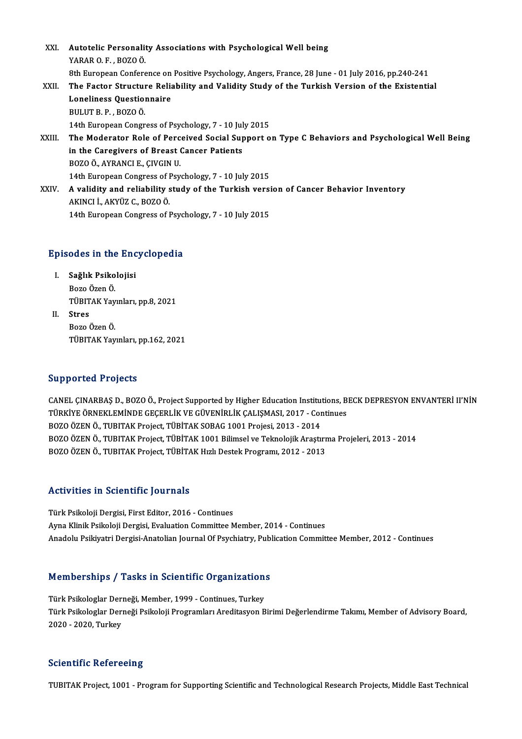XXI. Autotelic Personality Associations with Psychological Well being YARARO.F. ,BOZOÖ. 8th European Conference on Positive Psychology, Angers, France, 28 June - 01 July 2016, pp.240-241 YARAR O. F. , BOZO Ö.<br>8th European Conference on Positive Psychology, Angers, France, 28 June - 01 July 2016, pp.240-241<br>XXII. The Factor Structure Reliability and Validity Study of the Turkish Version of the Existential<br>L 8th European Conference on<br>The Factor Structure Relia<br>Loneliness Questionnaire<br>PULUT P-P-POZOÖ Loneliness Questionnaire<br>BULUT B. P., BOZOÖ. Loneliness Questionnaire<br>BULUT B. P. , BOZO Ö.<br>14th European Congress of Psychology, 7 - 10 July 2015<br>The Mederator Pole of Perseived Social Sunnert e BULUT B. P. , BOZO Ö.<br>14th European Congress of Psychology, 7 - 10 July 2015<br>XXIII. The Moderator Role of Perceived Social Support on Type C Behaviors and Psychological Well Being<br>in the Conegivers of Preest Conser Patient 14th European Congress of Psychology, 7 - 10 Jul<br>The Moderator Role of Perceived Social Sup<br>in the Caregivers of Breast Cancer Patients<br>POZO Ö AVRANCLE CIVCIN U The Moderator Role of Perc<br>in the Caregivers of Breast (<br>BOZO Ö., AYRANCI E., ÇIVGIN U.<br>14th Euroneen Congress of Bev in the Caregivers of Breast Cancer Patients<br>BOZO Ö., AYRANCI E., ÇIVGIN U.<br>14th European Congress of Psychology, 7 - 10 July 2015<br>A validity and reliability study of the Turkish versi BOZO Ö., AYRANCI E., ÇIVGIN U.<br>14th European Congress of Psychology, 7 - 10 July 2015<br>XXIV. A validity and reliability study of the Turkish version of Cancer Behavior Inventory<br>AKINCI İ., AKYÜZ C., BOZO Ö. 14th European Congress of I<br>A validity and reliability s<br>AKINCI İ., AKYÜZ C., BOZO Ö.<br>14th European Congress of I

14th European Congress of Psychology, 7 - 10 July 2015

# 14th European Congress or Psyc<br>Episodes in the Encyclopedia

- pisodes in the Enc<br>I. Sağlık Psikolojisi<br>Bara Ösan Ö I. Sağlık Psikolojisi<br>Bozo Özen Ö. Sağlık Psikolojisi<br>Bozo Özen Ö.<br>TÜBITAK Yayınları, pp.8, 2021<br>Strec
- II. Stres<br>Bozo Özen Ö. TÜBITAK Yay<br><mark>Stres</mark><br>Bozo Özen Ö.<br>Tüpıta*v* Yay TÜBITAK Yayınları, pp.162, 2021

#### Supported Projects

CANEL CINARBAS D., BOZOÖ., Project Supported by Higher Education Institutions, BECK DEPRESYON ENVANTERİ II'NİN TUPPOT CON TTOJOCES<br>CANEL ÇINARBAŞ D., BOZO Ö., Project Supported by Higher Education Institutions, B<br>TÜRKİYE ÖRNEKLEMİNDE GEÇERLİK VE GÜVENİRLİK ÇALIŞMASI, 2017 - Continues<br>BOZO ÖZEN Ö. TURITAK Project, TÜRİTAK SORAÇ 1991 CANEL ÇINARBAŞ D., BOZO Ö., Project Supported by Higher Education Institution<br>TÜRKİYE ÖRNEKLEMİNDE GEÇERLİK VE GÜVENİRLİK ÇALIŞMASI, 2017 - Cor<br>BOZO ÖZEN Ö., TUBITAK Project, TÜBİTAK SOBAG 1001 Projesi, 2013 - 2014<br>BOZO ÖZ TÜRKİYE ÖRNEKLEMİNDE GEÇERLİK VE GÜVENİRLİK ÇALIŞMASI, 2017 - Continues<br>BOZO ÖZEN Ö., TUBITAK Project, TÜBİTAK SOBAG 1001 Projesi, 2013 - 2014<br>BOZO ÖZEN Ö., TUBITAK Project, TÜBİTAK 1001 Bilimsel ve Teknolojik Araştırma Pr BOZO ÖZEN Ö., TUBITAK Project, TÜBİTAK SOBAG 1001 Projesi, 2013 - 2014<br>BOZO ÖZEN Ö., TUBITAK Project, TÜBİTAK 1001 Bilimsel ve Teknolojik Araştırr<br>BOZO ÖZEN Ö., TUBITAK Project, TÜBİTAK Hızlı Destek Programı, 2012 - 2013 BOZO ÖZEN Ö., TUBITAK Project, TÜBİTAK Hızlı Destek Programı, 2012 - 2013<br>Activities in Scientific Journals

Türk Psikoloji Dergisi, First Editor, 2016 - Continues Ayna Klinik Psikoloji Dergisi, Evaluation Committee Member, 2014 - Continues Anadolu Psikiyatri Dergisi-Anatolian Journal Of Psychiatry, Publication Committee Member, 2012 - Continues

# Anadolu Psikiyatri Dergisi-Anatollah journal ol Psychiatry, Publi<br>Memberships / Tasks in Scientific Organizations

Memberships / Tasks in Scientific Organization<br>Türk Psikologlar Derneği, Member, 1999 - Continues, Turkey<br>Türk Psikologlar Derneği Psikoleji Programları Areditesyon P Türk Psikologlar Derneği, Member, 1999 - Continues, Turkey<br>Türk Psikologlar Derneği, Member, 1999 - Continues, Turkey<br>Türk Psikologlar Derneği Psikoloji Programları Areditasyon Birimi Değerlendirme Takımı, Member of Adviso Türk Psikologlar Derı<br>Türk Psikologlar Derı<br>2020 - 2020, Turkey

# 2020 - 2020, Turkey<br>Scientific Refereeing

TUBITAK Project, 1001 - Program for Supporting Scientific and Technological Research Projects, Middle East Technical